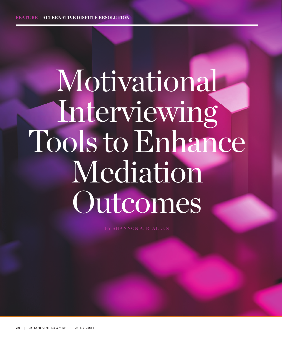# Motivational Interviewing Tools to Enhance Mediation Outcomes

BY SHANNON A. R. ALLEN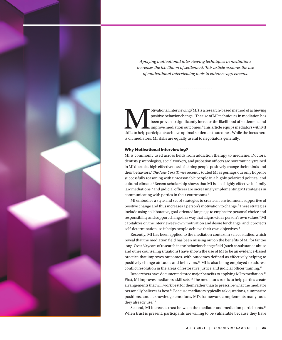<span id="page-1-0"></span>

*Applying motivational interviewing techniques in mediations increases the likelihood of settlement. This article explores the use of motivational interviewing tools to enhance agreements.*

otivational Interviewing (MI) is a research-based method of achieving<br>positive behavior change.<sup>1</sup> The use of MI techniques in mediation has<br>been proven to significantly increase the likelihood of settlement and<br>skills to positive behavior change.1The use of MI techniques in mediation has been proven to significantly increase the likelihood of settlement and improve mediation outcomes.2 This article equips mediators with MI is on mediators, MI skills are equally useful to negotiators generally.

# Why Motivational Interviewing?

MI is commonly used across fields from addiction therapy to medicine. Doctors, dentists, psychologists, social workers, and probation officers are now routinely trained in MI due to its high effectiveness in helping people positively change their minds and their behaviors[.3](#page-5-0)*The New York Times* recently touted MI as perhaps our only hope for successfully reasoning with unreasonable people in a highly polarized political and cultural climate.<sup>[4](#page-5-0)</sup> Recent scholarship shows that MI is also highly effective in family law mediations,<sup>5</sup> and judicial officers are increasingly implementing MI strategies in communicating with parties in their courtrooms[.6](#page-6-0)

MI embodies a style and set of strategies to create an environment supportive of positive change and thus increases a person's motivation to change.[7](#page-6-0)These strategies include using collaborative, goal-oriented language to emphasize personal choice and responsibility and support change in a way that aligns with a person's own values.<sup>[8](#page-6-0)</sup> MI capitalizes on the interviewee's own motivation and desire for change, and it protects self-determination, so it helps people achieve their own objectives.<sup>[9](#page-6-0)</sup>

Recently, MI has been applied to the mediation context in select studies, which reveal that the mediation field has been missing out on the benefits of MI for far too long. Over 30 years of research in the behavior change field (such as substance abuse and other counseling situations) have shown the use of MI to be an evidence-based practice that improves outcomes, with outcomes defined as effectively helping to positively change attitudes and behaviors.[10](#page-6-0) MI is also being employed to address conflict resolution in the areas of restorative justice and judicial officer training.<sup>[11](#page-6-0)</sup>

Researchers have documented three major benefits to applying MI to mediation.<sup>[12](#page-6-0)</sup> First, MI improves mediators' skill sets[.13](#page-6-0) The mediator's role is to help parties create arrangements that will work best for them rather than to prescribe what the mediator personally believes is best.[14](#page-6-0) Because mediators typically ask questions, summarize positions, and acknowledge emotions, MI's framework complements many tools they already use.<sup>15</sup>

Second, MI increases trust between the mediator and mediation participants.<sup>[16](#page-6-0)</sup> When trust is present, participants are willing to be vulnerable because they have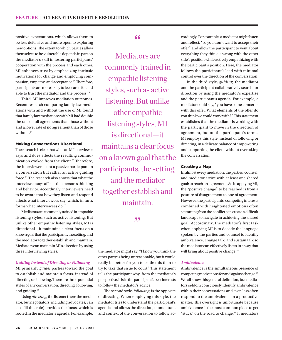<span id="page-2-0"></span>positive expectations, which allows them to be less defensive and more open to exploring new options. The extent to which parties allow themselves to be vulnerable depends in part on the mediator's skill in fostering participants' cooperation with the process and each other. MI enhances trust by emphasizing intrinsic motivations for change and employing compassion, empathy, and acceptance.<sup>17</sup>Therefore, participants are more likely to feel cared for and able to trust the mediator and the process[.18](#page-6-0)

Third, MI improves mediation outcomes. Recent research comparing family law mediations with and without the use of MI found that family law mediations with MI had double the rate of full agreements than those without and a lower rate of no agreement than of those without.<sup>[19](#page-6-0)</sup>

# Making Conversations Directional

The research is clear that what an MI interviewer says and does affects the resulting communication evoked from the client.<sup>20</sup> Therefore, the interviewer is not a passive participant in a conversation but rather an active guiding force.[21](#page-6-0) The research also shows that what the interviewee says affects that person's thinking and behavior. Accordingly, interviewers need to be aware that how they listen and respond affects what interviewees say, which, in turn, forms what interviewees do.<sup>22</sup>

Mediators are commonly trained in empathic listening styles, such as active listening. But unlike other empathic listening styles, MI is directional—it maintains a clear focus on a known goal that the participants, the setting, and the mediator together establish and maintain. Mediators can maintain MI's direction by using three interviewing styles.

# *Guiding Instead of Directing or Following*

MI primarily *guides* parties toward the goal to establish and maintain focus, instead of directing or following. There are three potential styles of any conversation: directing, following, and guiding.<sup>23</sup>

Using *directing*, the listener (here the mediator, but negotiators, including advocates, can also fill this role) provides the focus, which is rooted in the mediator's agenda. For example,

# "

Mediators are commonly trained in empathic listening styles, such as active listening. But unlike other empathic listening styles, MI is directional—it maintains a clear focus on a known goal that the participants, the setting, and the mediator together establish and maintain.

# ,,

the mediator might say, "I know you think the other party is being unreasonable, but it would really be better for you to settle this than to try to take that issue to court." This statement tells the participant why, from the mediator's perspective, it is in the participant's best interests to follow the mediator's advice.

The second style, *following*, is the opposite of directing. When employing this style, the mediator tries to understand the participant's agenda and allows the direction, momentum, and context of the conversation to follow accordingly. For example, a mediator might listen and reflect, "so you don't want to accept their offer," and allow the participant to vent about everything they think is wrong with the other side's position while actively empathizing with the participant's position. Here, the mediator follows the participant's lead with minimal control over the direction of the conversation.

In the third style, *guiding*, the mediator and the participant collaboratively search for direction by using the mediator's expertise and the participant's agenda. For example, a mediator could say, "you have some concerns with this offer. What elements of the offer do you think we could work with?" This statement establishes that the mediator is working with the participant to move in the direction of agreement, but on the participant's terms. MI employs this style, instead of following or directing, in a delicate balance of empowering and supporting the client without overtaking the conversation.

# Creating a Map

In almost every mediation, the parties, counsel, and mediator arrive with at least one shared goal: to reach an agreement. So in applying MI, the "positive change" to be reached is from a posture of disagreement to one of agreement. However, the participants' competing interests combined with heightened emotions often stemming from the conflict can create a difficult landscape to navigate in achieving the shared goal. Accordingly, the mediator's first task when applying MI is to decode the language spoken by the parties and counsel to identify ambivalence, change talk, and sustain talk so the mediator can effectively listen in a way that will bring about positive change.<sup>[24](#page-6-0)</sup>

# *Ambivalence*

Ambivalence is the simultaneous presence of competing motivations for and against change.[25](#page-6-0) We all know this general definition, but mediators seldom consciously identify ambivalence within their conversations and even less often respond to the ambivalence in a productive matter. This oversight is unfortunate because ambivalence is the most common place to get "stuck" on the road to change.<sup>26</sup> If mediators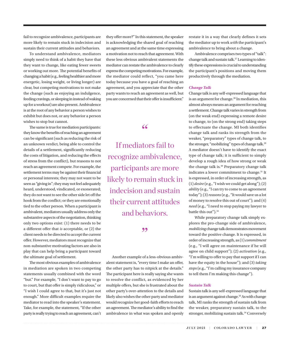<span id="page-3-0"></span>fail to recognize ambivalence, participants are more likely to remain stuck in indecision and sustain their current attitudes and behaviors.

To understand ambivalence, mediators simply need to think of a habit they have that they want to change, like eating fewer sweets or working out more. The potential benefits of changing a habit (e.g., feeling healthier and more energetic, losing weight, or living longer) are clear, but competing motivations to not make the change (such as enjoying an indulgence, feeding cravings, or sleeping in instead of waking up for a workout) are also present. Ambivalence is at the root of any behavior a person wishes to exhibit but does not, or any behavior a person wishes to stop but cannot.

The same is true for mediation participants: they know the benefits of reaching an agreement can be significant (such as reducing the risk of an unknown verdict, being able to control the details of a settlement, significantly reducing the costs of litigation, and reducing the effects of stress from the conflict), but reasons to not reach an agreement compete. For example, the settlement terms may be against their financial or personal interests; they may not want to be seen as "giving in"; they may not feel adequately heard, understood, vindicated, or exonerated; they do not want to see the other side let off the hook from the conflict; or they are emotionally tied to the other person. When a participant is ambivalent, mediators usually address only the substantive aspects of the negotiation, thinking only two options exist: (1) there needs to be a different offer that *is* acceptable, or (2) the client needs to be directed to accept the current offer. However, mediators must recognize that non-substantive motivating factors are also in play that can help bring a participant toward the ultimate goal of settlement.

The most obvious examples of ambivalence in mediation are spoken in two competing statements usually combined with the word "but." For example, "I don't want to pay to go to court, but that offer is simply ridiculous," or "I wish I could agree to that, but it's just not enough." More difficult examples require the mediator to read into the speaker's statement. Take, for example, the statement, "If the other party is really trying to reach an agreement, can't they offer more?" In this statement, the speaker is acknowledging the shared goal of reaching an agreement and at the same time expressing a motivation not to reach that agreement. With these less obvious ambivalent statements the mediator can restate the ambivalence to clearly express the competing motivations. For example, the mediator could reflect, "you came here today because you have a goal of reaching an agreement, and you appreciate that the other party wants to reach an agreement as well, but you are concerned that their offer is insufficient."

# "

If mediators fail to recognize ambivalence, participants are more likely to remain stuck in indecision and sustain their current attitudes and behaviors.

# ,,

Another example of a less-obvious ambivalent statement is, "every time I make an offer, the other party has to nitpick at the details." The participant here is really saying she wants to resolve the conflict, as evidenced by her multiple offers, but she is frustrated about the other party's over-attention to the details and likely also wishes the other party and mediator would recognize her good-faith efforts to reach an agreement. The mediator's ability to find the ambivalence in what was spoken and openly restate it in a way that clearly defines it sets the mediator up to work *with* the participant's ambivalence to bring about a change.

Ambivalence comprises two types of "talk": change talk and sustain talk[.27](#page-6-0) Learning to identify these expressions is crucial to understanding the participant's positions and moving them productively through the mediation.

# *Change Talk*

Change talk is any self-expressed language that is an argument for change.<sup>28</sup> In mediation, this almost always means an argument for reaching a settlement. Change talk varies in strength from (on the weak end) expressing a remote desire to change, to (on the strong end) taking steps to effectuate the change. MI both identifies change talk and ranks its strength from the weaker, "preparatory" types of change talk, to the stronger, "mobilizing" types of change talk.<sup>[29](#page-6-0)</sup> A mediator doesn't have to identify the exact type of change talk; it is sufficient to simply develop a rough idea of how strong or weak the change talk is.<sup>30</sup> Preparatory change talk indicates a lower commitment to change.<sup>31</sup> It is expressed, in order of increasing strength, as  $(1)$  *desire* (e.g., "I wish we could get along");  $(2)$ *ability* (e.g., "I can try to come to an agreement today"); (3) *reasons* (e.g., "It would save us a lot of money to resolve this out of court"); and (4) *need* (e.g., "I need to stop paying my lawyer to battle this out").<sup>[32](#page-6-0)</sup>

While preparatory change talk simply explores the pro-change side of ambivalence, *mobilizing* change talk demonstrates movement toward the positive change. It is expressed, in order of increasing strength, as (1) *commitment*  (e.g., "I will agree on maintenance if he will agree on child support"); (2) *activation* (e.g., "I'm willing to offer to pay that support if I can have the equity in the house"); and (3) *taking steps* (e.g., "I'm calling my insurance company to tell them I'm making this change").

# *Sustain Talk*

Sustain talk is any self-expressed language that is an argument against change.<sup>[33](#page-6-0)</sup> As with change talk, MI ranks the strength of sustain talk from the weaker, preparatory sustain talk, to the stronger, mobilizing sustain talk.<sup>34</sup> Conversely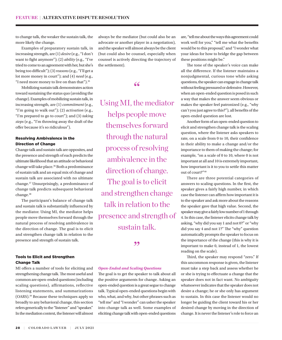<span id="page-4-0"></span>to change talk, the weaker the sustain talk, the more likely the change.

Examples of preparatory sustain talk, in increasing strength, are (1) *desire* (e.g., "I don't want to fight anymore"); (2) *ability* (e.g., "I've tried to come to an agreement with her, but she's being too difficult"); (3) *reasons* (e.g., "I'll get a lot more money in court"); and (4) *need* (e.g., "I need more money to live on than that").[35](#page-6-0)

Mobilizing sustain talk demonstrates action toward sustaining the status quo (avoiding the change). Examples of mobilizing sustain talk, in increasing strength, are (1) *commitment* (e.g., "I'm going to walk out"); (2) *activation* (e.g., "I'm prepared to go to court"); and (3) *taking steps* (e.g., "I'm throwing away the draft of the offer because it's so ridiculous").

# Resolving Ambivalence in the Direction of Change

Change talk and sustain talk are opposites, and the presence and strength of each predicts the ultimate likelihood that an attitude or behavioral change will take place.[36](#page-6-0) Both a predominance of sustain talk and an equal mix of change and sustain talk are associated with no ultimate change.[37](#page-6-0) Unsurprisingly, a predominance of change talk predicts subsequent behavioral change.<sup>[38](#page-6-0)</sup>

The participant's balance of change talk and sustain talk is substantially influenced by the mediator. Using MI, the mediator helps people move themselves forward through the natural process of resolving ambivalence in the direction of change. The goal is to elicit and strengthen change talk in relation to the presence and strength of sustain talk.

# Tools to Elicit and Strengthen Change Talk

MI offers a number of tools for eliciting and strengthening change talk. The most useful and common are open-ended questions (including scaling questions), affirmations, reflective listening statements, and summarizations (OARS).[39](#page-6-0) Because these techniques apply so broadly to any behavioral change, this section refers generically to the "listener" and "speaker." In the mediation context, the listener will almost

always be the mediator (but could also be an advocate or another player in a negotiation), and the speaker will almost always be the client (but could also be counsel, especially when counsel is actively directing the trajectory of the settlement).

# $66$

Using MI, the mediator helps people move themselves forward through the natural process of resolving ambivalence in the direction of change. The goal is to elicit and strengthen change talk in relation to the presence and strength of sustain talk.

"

# *Open-Ended and Scaling Questions*

The goal is to get the speaker to talk about all the positive arguments for change. Asking an open-ended question is a great segue to change talk. Typical open-ended questions begin with who, what, and why, but other phrases such as "tell me" and "I wonder" can usher the speaker into change talk as well. Some examples of eliciting change talk with open-ended questions

are, "tell me about the ways this agreement could work well for you," "tell me what the benefits would be to this proposal," and "I wonder what your ideas for how to bridge the gap between these positions might be."

The tone of the speaker's voice can make all the difference. If the listener maintains a nonjudgmental, curious tone while asking questions, the speaker can engage in change talk without feeling pressured or defensive. However, when an open-ended question is posed in such a way that makes the answer seem obvious or makes the speaker feel patronized (e.g., "why can't you just agree to this?"), all benefits of the open-ended question are lost.

Another form of an open-ended question to elicit and strengthen change talk is the scaling question, where the listener asks speakers to rate, on a scale from 0 to 10, their confidence in their ability to make a change and/or the importance to them of making the change; for example, "on a scale of 0 to 10, where 0 is not important at all and 10 is extremely important, how important is it to you to settle this matter out of court?["40](#page-6-0)

There are three potential categories of answers to scaling questions. In the first, the speaker gives a fairly high number, in which case the listener can affirm how important it is to the speaker and ask more about the reasons the speaker gave that high value. Second, the speaker may give a fairly low number of 1 through 4. In this case, the listener elicits change talk by asking, "why did you say 1 and not 0?" or "why did you say 4 and not 1?" The "why" question automatically prompts the speaker to focus on the importance of the change (this is why it is important to make 0, instead of 1, the lowest reading on the scale).

Third, the speaker may respond "zero." If this uncommon response is given, the listener must take a step back and assess whether he or she is trying to effectuate a change that the speaker does not in fact want. No ambiguity whatsoever indicates that the speaker does not desire a change; he or she only has argument to sustain. In this case the listener would no longer be guiding the client toward his or her desired change by moving in the direction of change. It is never the listener's role to force an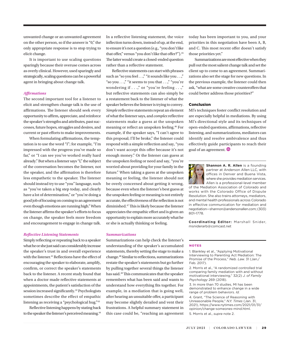<span id="page-5-0"></span>unwanted change or an unwanted agreement on the other person, so if the answer is "0," the only appropriate response is to stop trying to elicit change.

It is important to use scaling questions sparingly because their overuse comes across as overly clinical. However, used sparingly and strategically, scaling questions can be a powerful agent in bringing about change talk.

# *Affirmations*

The second important tool for a listener to elicit and strengthen change talk is the use of affirmations. The listener should seek every opportunity to affirm, appreciate, and reinforce the speaker's strengths and attributes, past successes, future hopes, struggles and desires, and current or past efforts to make improvements.

When formulating affirmations, the temptation is to use the word "I"; for example, "I'm impressed with the progress you've made so far," or "I can see you've worked really hard already." But when a listener says "I," the subject of the conversation becomes the listener, not the speaker, and the affirmation is therefore less empathetic to the speaker. The listener should instead try to use "you" language, such as "you've taken a big step today, and clearly have a lot of determination," or "you're doing a good job of focusing on coming to an agreement even though emotions are running high." When the listener affirms the speaker's efforts to focus on change, the speaker feels more freedom and encouragement to engage in change talk.

#### *Reflective Listening Statements*

Simply reflecting or repeating back to a speaker what he or she just said can considerably increase the speaker's trust in and overall experience with the listener.<sup>[41](#page-6-0)</sup> Reflections have the effect of encouraging the speaker to elaborate, amplify, confirm, or correct the speaker's statements back to the listener. A recent study found that when a doctor made reflective statements at appointments, the patient's satisfaction of the session increased significantly.<sup>[42](#page-6-0)</sup> Psychologists sometimes describe the effect of empathic listening as receiving a "psychological hug.["43](#page-6-0)

Reflective listening happens by stating back to the speaker the listener's perceived meaning.<sup>44</sup> In a reflective listening statement, the voice inflection turns down, instead of up, at the end, to ensure it's not a question (e.g., "you don't like that offer," versus "you don't like that offer?").<sup>[45](#page-6-0)</sup> The latter would create a closed-ended question rather than a reflective statement.

Reflective statements can start with phrases such as "so you feel . . .," "it sounds like you . . .," "so you . . .," "it seems to you that . . .," "you're wondering if  $\ldots$ ," or "you're feeling  $\ldots$ ," but reflective statements can also simply be a restatement back to the listener of what the speaker believes the listener is trying to convey. *Simple* reflective statements repeat an element of what the listener says, and *complex* reflective statements make a guess at the unspoken meaning or reflect an unspoken feeling[.46](#page-6-0) For example, if the speaker says, "I can't agree to this proposal; I'll be broke," the listener could respond with a simple reflection and say, "you don't want accept this offer because it's not enough money." Or the listener can guess at the unspoken feeling or need and say, "you're worried about providing for your family in the future." When taking a guess at the unspoken meaning or feeling, the listener should not be overly concerned about getting it wrong, because even when the listener's best guess at the unspoken feeling or meaning is not entirely accurate, the effectiveness of the reflection is not diminished[.47](#page-6-0) This is likely because the listener appreciates the empathic effort and is given an opportunity to explain more accurately what he or she is actually thinking or feeling.

## *Summarizations*

Summarizations can help check the listener's understanding of the speaker's accumulated statements, thereby setting the stage to make a change.[48](#page-6-0) Similar to reflections, summarizations restate the speaker's statements but go further by pulling together several things the listener has said[.49](#page-6-0) This communicates that the speaker remembers what has been said and wants to understand how everything fits together. For example, in a mediation that is going well, after hearing an unsuitable offer, a participant may become slightly derailed and vent their frustrations. A helpful summary statement in this case could be, "reaching an agreement today has been important to you, and your priorities in this negotiation have been A, B, and C. This most recent offer doesn't satisfy those priorities yet."

Summarizations are most effective when they pull out the most salient change talk and set the client up to come to an agreement. Summarizations also set the stage for new questions. In the previous example, the listener could then ask, "what are some creative counteroffers that could better address those priorities?"

# Conclusion

MI's techniques foster conflict resolution and are especially helpful in mediations. By using MI's directional style and its techniques of open-ended questions, affirmations, reflective listening, and summarizations, mediators can identify and resolve ambivalence and thus effectively guide participants to reach their goal of an agreement.



**Shannon A. R. Allen** is a founding partner at Anderson Allen LLC, with offices in Denver and Buena Vista, where she provides mediation services. Allen is a professional-level member

of the Mediation Association of Colorado and works with the Colorado Office of Dispute Resolution. She also trains attorneys, mediators, and mental health professionals across Colorado in effective communication for mediation and negotiation—shannon@andersonallen.com; (303) 801-1778.

**Coordinating Editor:** Marshall Snider, msniderarb@comcast.net

# **NOTES**

[1.](#page-1-0) Blankley et al., "Applying Motivational Interviewing to Parenting Act Mediation: The Promise of the Process," *Neb. Law.* 31 (Jan./ Feb. 2017).

[2](#page-1-0). Morris et al., "A randomized controlled trial comparing family mediation with and without motivational interviewing," 32(2) *J. of Family Psychology* 269 (2018).

[3.](#page-1-0) In more than 70 studies, MI has been demonstrated to enhance change in a wide range of problem behaviors. *Id.*

[4](#page-1-0). Grant, "The Science of Reasoning with Unreasonable People," *N.Y. Times* (Jan. 31, 2021), https://www.nytimes.com/2021/01/31/ opinion/change-someones-mind.html. [5.](#page-1-0) Morris et al., *supra* note 2.